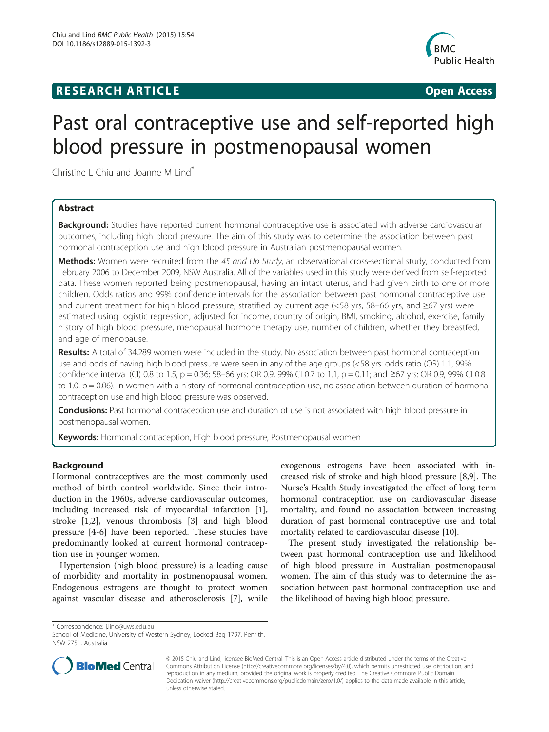## **RESEARCH ARTICLE Example 2018 12:00 Department of the COVID-TIGGS COPEN Access**



# Past oral contraceptive use and self-reported high blood pressure in postmenopausal women

Christine L Chiu and Joanne M Lind\*

## Abstract

**Background:** Studies have reported current hormonal contraceptive use is associated with adverse cardiovascular outcomes, including high blood pressure. The aim of this study was to determine the association between past hormonal contraception use and high blood pressure in Australian postmenopausal women.

Methods: Women were recruited from the 45 and Up Study, an observational cross-sectional study, conducted from February 2006 to December 2009, NSW Australia. All of the variables used in this study were derived from self-reported data. These women reported being postmenopausal, having an intact uterus, and had given birth to one or more children. Odds ratios and 99% confidence intervals for the association between past hormonal contraceptive use and current treatment for high blood pressure, stratified by current age (<58 yrs, 58–66 yrs, and ≥67 yrs) were estimated using logistic regression, adjusted for income, country of origin, BMI, smoking, alcohol, exercise, family history of high blood pressure, menopausal hormone therapy use, number of children, whether they breastfed, and age of menopause.

Results: A total of 34,289 women were included in the study. No association between past hormonal contraception use and odds of having high blood pressure were seen in any of the age groups (<58 yrs: odds ratio (OR) 1.1, 99% confidence interval (CI) 0.8 to 1.5, p = 0.36; 58–66 yrs: OR 0.9, 99% CI 0.7 to 1.1, p = 0.11; and ≥67 yrs: OR 0.9, 99% CI 0.8 to 1.0. p = 0.06). In women with a history of hormonal contraception use, no association between duration of hormonal contraception use and high blood pressure was observed.

Conclusions: Past hormonal contraception use and duration of use is not associated with high blood pressure in postmenopausal women.

Keywords: Hormonal contraception, High blood pressure, Postmenopausal women

## Background

Hormonal contraceptives are the most commonly used method of birth control worldwide. Since their introduction in the 1960s, adverse cardiovascular outcomes, including increased risk of myocardial infarction [\[1](#page-5-0)], stroke [[1,2\]](#page-5-0), venous thrombosis [[3\]](#page-5-0) and high blood pressure [\[4](#page-5-0)-[6\]](#page-5-0) have been reported. These studies have predominantly looked at current hormonal contraception use in younger women.

Hypertension (high blood pressure) is a leading cause of morbidity and mortality in postmenopausal women. Endogenous estrogens are thought to protect women against vascular disease and atherosclerosis [\[7\]](#page-5-0), while exogenous estrogens have been associated with increased risk of stroke and high blood pressure [[8,9\]](#page-5-0). The Nurse's Health Study investigated the effect of long term hormonal contraception use on cardiovascular disease mortality, and found no association between increasing duration of past hormonal contraceptive use and total mortality related to cardiovascular disease [\[10\]](#page-5-0).

The present study investigated the relationship between past hormonal contraception use and likelihood of high blood pressure in Australian postmenopausal women. The aim of this study was to determine the association between past hormonal contraception use and the likelihood of having high blood pressure.

\* Correspondence: [j.lind@uws.edu.au](mailto:j.lind@uws.edu.au)

School of Medicine, University of Western Sydney, Locked Bag 1797, Penrith, NSW 2751, Australia



© 2015 Chiu and Lind; licensee BioMed Central. This is an Open Access article distributed under the terms of the Creative Commons Attribution License [\(http://creativecommons.org/licenses/by/4.0\)](http://creativecommons.org/licenses/by/4.0), which permits unrestricted use, distribution, and reproduction in any medium, provided the original work is properly credited. The Creative Commons Public Domain Dedication waiver [\(http://creativecommons.org/publicdomain/zero/1.0/](http://creativecommons.org/publicdomain/zero/1.0/)) applies to the data made available in this article, unless otherwise stated.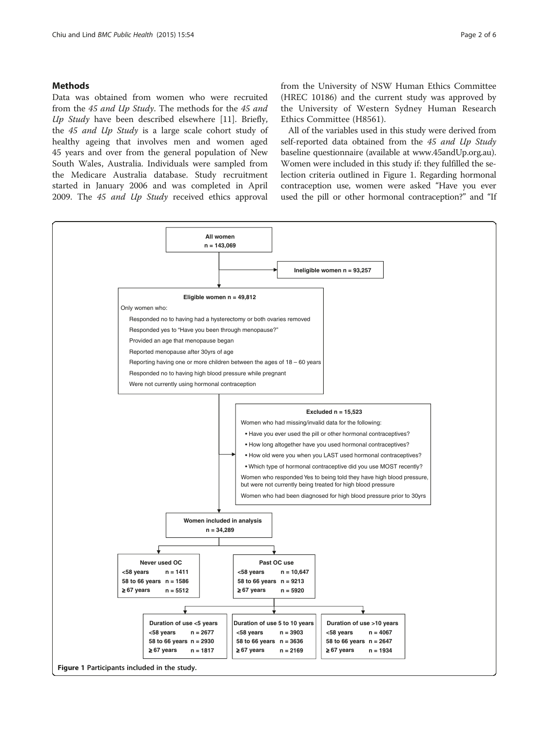## <span id="page-1-0"></span>**Methods**

Data was obtained from women who were recruited from the 45 and Up Study. The methods for the 45 and  $Up$  Study have been described elsewhere [[11\]](#page-5-0). Briefly, the 45 and Up Study is a large scale cohort study of healthy ageing that involves men and women aged 45 years and over from the general population of New South Wales, Australia. Individuals were sampled from the Medicare Australia database. Study recruitment started in January 2006 and was completed in April 2009. The 45 and Up Study received ethics approval from the University of NSW Human Ethics Committee (HREC 10186) and the current study was approved by the University of Western Sydney Human Research Ethics Committee (H8561).

All of the variables used in this study were derived from self-reported data obtained from the 45 and Up Study baseline questionnaire (available at [www.45andUp.org.au](http://www.45andup.org.au)). Women were included in this study if: they fulfilled the selection criteria outlined in Figure 1. Regarding hormonal contraception use, women were asked "Have you ever used the pill or other hormonal contraception?" and "If

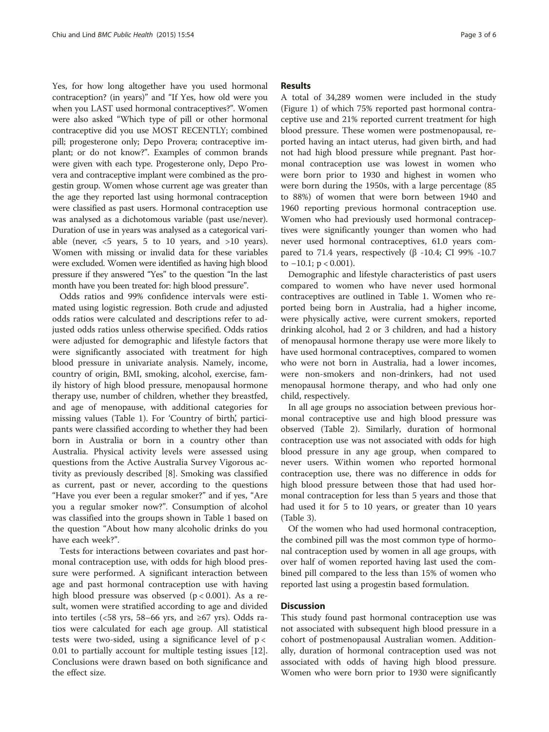Yes, for how long altogether have you used hormonal contraception? (in years)" and "If Yes, how old were you when you LAST used hormonal contraceptives?". Women were also asked "Which type of pill or other hormonal contraceptive did you use MOST RECENTLY; combined pill; progesterone only; Depo Provera; contraceptive implant; or do not know?". Examples of common brands were given with each type. Progesterone only, Depo Provera and contraceptive implant were combined as the progestin group. Women whose current age was greater than the age they reported last using hormonal contraception were classified as past users. Hormonal contraception use was analysed as a dichotomous variable (past use/never). Duration of use in years was analysed as a categorical variable (never,  $\lt 5$  years, 5 to 10 years, and  $>10$  years). Women with missing or invalid data for these variables were excluded. Women were identified as having high blood pressure if they answered "Yes" to the question "In the last month have you been treated for: high blood pressure".

Odds ratios and 99% confidence intervals were estimated using logistic regression. Both crude and adjusted odds ratios were calculated and descriptions refer to adjusted odds ratios unless otherwise specified. Odds ratios were adjusted for demographic and lifestyle factors that were significantly associated with treatment for high blood pressure in univariate analysis. Namely, income, country of origin, BMI, smoking, alcohol, exercise, family history of high blood pressure, menopausal hormone therapy use, number of children, whether they breastfed, and age of menopause, with additional categories for missing values (Table [1](#page-3-0)). For 'Country of birth', participants were classified according to whether they had been born in Australia or born in a country other than Australia. Physical activity levels were assessed using questions from the Active Australia Survey Vigorous activity as previously described [\[8](#page-5-0)]. Smoking was classified as current, past or never, according to the questions "Have you ever been a regular smoker?" and if yes, "Are you a regular smoker now?". Consumption of alcohol was classified into the groups shown in Table [1](#page-3-0) based on the question "About how many alcoholic drinks do you have each week?".

Tests for interactions between covariates and past hormonal contraception use, with odds for high blood pressure were performed. A significant interaction between age and past hormonal contraception use with having high blood pressure was observed  $(p < 0.001)$ . As a result, women were stratified according to age and divided into tertiles (<58 yrs, 58–66 yrs, and ≥67 yrs). Odds ratios were calculated for each age group. All statistical tests were two-sided, using a significance level of  $p <$ 0.01 to partially account for multiple testing issues [\[12](#page-5-0)]. Conclusions were drawn based on both significance and the effect size.

### Results

A total of 34,289 women were included in the study (Figure [1\)](#page-1-0) of which 75% reported past hormonal contraceptive use and 21% reported current treatment for high blood pressure. These women were postmenopausal, reported having an intact uterus, had given birth, and had not had high blood pressure while pregnant. Past hormonal contraception use was lowest in women who were born prior to 1930 and highest in women who were born during the 1950s, with a large percentage (85 to 88%) of women that were born between 1940 and 1960 reporting previous hormonal contraception use. Women who had previously used hormonal contraceptives were significantly younger than women who had never used hormonal contraceptives, 61.0 years compared to 71.4 years, respectively (β -10.4; CI 99% -10.7 to  $-10.1$ ; p < 0.001).

Demographic and lifestyle characteristics of past users compared to women who have never used hormonal contraceptives are outlined in Table [1](#page-3-0). Women who reported being born in Australia, had a higher income, were physically active, were current smokers, reported drinking alcohol, had 2 or 3 children, and had a history of menopausal hormone therapy use were more likely to have used hormonal contraceptives, compared to women who were not born in Australia, had a lower incomes, were non-smokers and non-drinkers, had not used menopausal hormone therapy, and who had only one child, respectively.

In all age groups no association between previous hormonal contraceptive use and high blood pressure was observed (Table [2](#page-3-0)). Similarly, duration of hormonal contraception use was not associated with odds for high blood pressure in any age group, when compared to never users. Within women who reported hormonal contraception use, there was no difference in odds for high blood pressure between those that had used hormonal contraception for less than 5 years and those that had used it for 5 to 10 years, or greater than 10 years (Table [3\)](#page-4-0).

Of the women who had used hormonal contraception, the combined pill was the most common type of hormonal contraception used by women in all age groups, with over half of women reported having last used the combined pill compared to the less than 15% of women who reported last using a progestin based formulation.

## **Discussion**

This study found past hormonal contraception use was not associated with subsequent high blood pressure in a cohort of postmenopausal Australian women. Additionally, duration of hormonal contraception used was not associated with odds of having high blood pressure. Women who were born prior to 1930 were significantly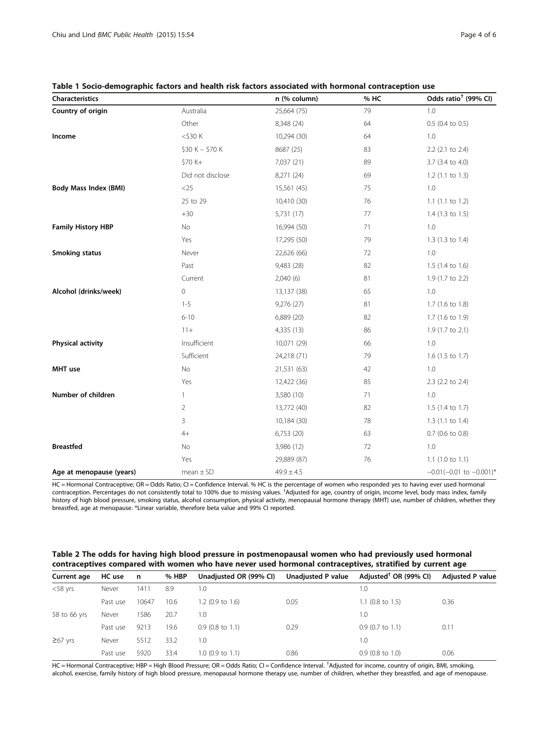| Characteristics              |                  | n (% column)   | % HC | Odds ratio <sup>†</sup> (99% CI) |
|------------------------------|------------------|----------------|------|----------------------------------|
| Country of origin            | Australia        | 25,664 (75)    | 79   | 1.0                              |
|                              | Other            | 8,348 (24)     | 64   | $0.5$ (0.4 to 0.5)               |
| Income                       | $<$ \$30 $K$     | 10,294 (30)    | 64   | 1.0                              |
|                              | $$30 K - $70 K$  | 8687 (25)      | 83   | 2.2 (2.1 to 2.4)                 |
|                              | \$70 K+          | 7,037 (21)     | 89   | 3.7 (3.4 to 4.0)                 |
|                              | Did not disclose | 8,271 (24)     | 69   | $1.2$ (1.1 to 1.3)               |
| <b>Body Mass Index (BMI)</b> | $<$ 25           | 15,561 (45)    | 75   | $1.0\,$                          |
|                              | 25 to 29         | 10,410 (30)    | 76   | $1.1$ (1.1 to 1.2)               |
|                              | $+30$            | 5,731 (17)     | 77   | $1.4$ (1.3 to 1.5)               |
| <b>Family History HBP</b>    | No               | 16,994 (50)    | 71   | 1.0                              |
|                              | Yes              | 17,295 (50)    | 79   | $1.3$ (1.3 to 1.4)               |
| Smoking status               | Never            | 22,626 (66)    | 72   | 1.0                              |
|                              | Past             | 9,483 (28)     | 82   | $1.5$ (1.4 to 1.6)               |
|                              | Current          | 2,040(6)       | 81   | 1.9 (1.7 to 2.2)                 |
| Alcohol (drinks/week)        | $\circ$          | 13,137 (38)    | 65   | $1.0\,$                          |
|                              | $1 - 5$          | 9,276 (27)     | 81   | $1.7$ (1.6 to 1.8)               |
|                              | $6 - 10$         | 6,889 (20)     | 82   | $1.7$ (1.6 to 1.9)               |
|                              | $11 +$           | 4,335 (13)     | 86   | 1.9 (1.7 to 2.1)                 |
| <b>Physical activity</b>     | Insufficient     | 10,071 (29)    | 66   | 1.0                              |
|                              | Sufficient       | 24,218 (71)    | 79   | $1.6$ (1.5 to 1.7)               |
| MHT use                      | No               | 21,531 (63)    | 42   | $1.0\,$                          |
|                              | Yes              | 12,422 (36)    | 85   | 2.3 (2.2 to 2.4)                 |
| Number of children           | 1                | 3,580 (10)     | 71   | 1.0                              |
|                              | $\overline{2}$   | 13,772 (40)    | 82   | $1.5$ (1.4 to 1.7)               |
|                              | 3                | 10,184 (30)    | 78   | $1.3$ (1.1 to 1.4)               |
|                              | $4+$             | 6,753(20)      | 63   | $0.7$ (0.6 to 0.8)               |
| <b>Breastfed</b>             | No               | 3,986 (12)     | 72   | 1.0                              |
|                              | Yes              | 29,889 (87)    | 76   | $1.1$ (1.0 to 1.1)               |
| Age at menopause (years)     | $mean \pm SD$    | $49.9 \pm 4.5$ |      | $-0.01(-0.01$ to $-0.001)$ *     |

<span id="page-3-0"></span>Table 1 Socio-demographic factors and health risk factors associated with hormonal contraception use

HC = Hormonal Contraceptive; OR = Odds Ratio; CI = Confidence Interval. % HC is the percentage of women who responded yes to having ever used hormonal contraception. Percentages do not consistently total to 100% due to missing values. † Adjusted for age, country of origin, income level, body mass index, family history of high blood pressure, smoking status, alcohol consumption, physical activity, menopausal hormone therapy (MHT) use, number of children, whether they breastfed, age at menopause. \*Linear variable, therefore beta value and 99% CI reported.

| Table 2 The odds for having high blood pressure in postmenopausal women who had previously used hormonal  |  |
|-----------------------------------------------------------------------------------------------------------|--|
| contraceptives compared with women who have never used hormonal contraceptives, stratified by current age |  |

| <b>Current age</b> | HC use   | n     | % HBP | Unadjusted OR (99% CI) | Unadjusted P value | Adjusted <sup>T</sup> OR (99% CI) | <b>Adjusted P value</b> |
|--------------------|----------|-------|-------|------------------------|--------------------|-----------------------------------|-------------------------|
| $<$ 58 $yrs$       | Never    | 1411  | 8.9   | 1.0                    |                    | 1.0                               |                         |
|                    | Past use | 10647 | 10.6  | $1.2(0.9)$ to $1.6$ )  | 0.05               | 1.1 $(0.8 \text{ to } 1.5)$       | 0.36                    |
| 58 to 66 yrs       | Never    | 1586  | 20.7  | 1.0                    |                    | 1.0                               |                         |
|                    | Past use | 9213  | 19.6  | $0.9$ (0.8 to 1.1)     | 0.29               | $0.9$ (0.7 to 1.1)                | 0.11                    |
| $\geq 67$ yrs      | Never    | 5512  | 33.2  | 1.0                    |                    | 1.0                               |                         |
|                    | Past use | 5920  | 33.4  | $1.0$ (0.9 to 1.1)     | 0.86               | $0.9$ (0.8 to 1.0)                | 0.06                    |

HC = Hormonal Contraceptive; HBP = High Blood Pressure; OR = Odds Ratio; CI = Confidence Interval. <sup>†</sup>Adjusted for income, country of origin, BMI, smoking, alcohol, exercise, family history of high blood pressure, menopausal hormone therapy use, number of children, whether they breastfed, and age of menopause.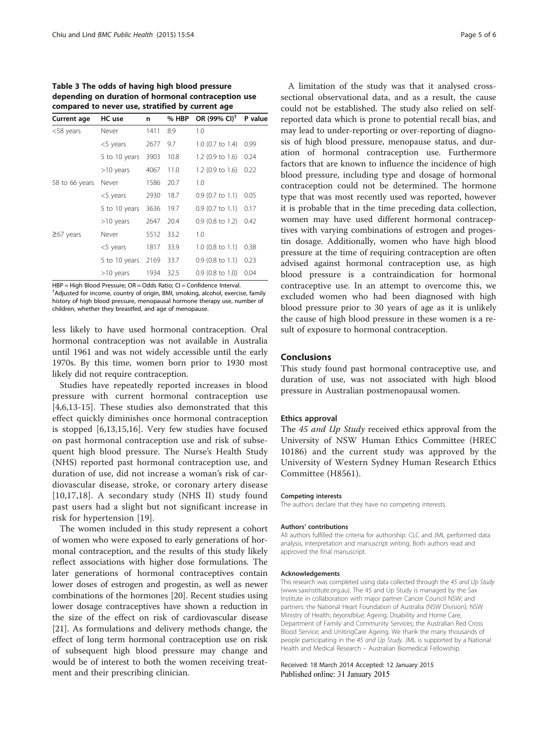<span id="page-4-0"></span>Table 3 The odds of having high blood pressure depending on duration of hormonal contraception use compared to never use, stratified by current age

| <b>Current age</b> | HC use        | n    | % HBP | OR (99% CI) <sup>+</sup> | P value |
|--------------------|---------------|------|-------|--------------------------|---------|
| <58 years          | Never         | 1411 | 8.9   | 1.0                      |         |
|                    | <5 years      | 2677 | 9.7   | $1.0$ (0.7 to 1.4)       | 0.99    |
|                    | 5 to 10 years | 3903 | 10.8  | $1.2$ (0.9 to 1.6)       | 0.24    |
|                    | $>10$ years   | 4067 | 11.0  | $1.2$ (0.9 to 1.6)       | 0.22    |
| 58 to 66 years     | Never         | 1586 | 20.7  | 1.0                      |         |
|                    | <5 years      | 2930 | 18.7  | $0.9$ (0.7 to 1.1)       | 0.05    |
|                    | 5 to 10 years | 3636 | 19.7  | $0.9$ (0.7 to 1.1)       | 0.17    |
|                    | $>10$ years   | 2647 | 20.4  | $0.9$ (0.8 to 1.2)       | 0.42    |
| $\geq$ 67 years    | Never         | 5512 | 33.2  | 1.0                      |         |
|                    | <5 years      | 1817 | 33.9  | $1.0$ (0.8 to 1.1)       | 0.38    |
|                    | 5 to 10 years | 2169 | 33.7  | $0.9$ (0.8 to 1.1)       | 0.23    |
|                    | $>10$ years   | 1934 | 32.5  | $0.9$ (0.8 to 1.0)       | 0.04    |
|                    |               |      |       |                          |         |

HBP = High Blood Pressure; OR = Odds Ratio; CI = Confidence Interval.

† Adjusted for income, country of origin, BMI, smoking, alcohol, exercise, family history of high blood pressure, menopausal hormone therapy use, number of children, whether they breastfed, and age of menopause.

less likely to have used hormonal contraception. Oral hormonal contraception was not available in Australia until 1961 and was not widely accessible until the early 1970s. By this time, women born prior to 1930 most likely did not require contraception.

Studies have repeatedly reported increases in blood pressure with current hormonal contraception use [[4,6,13](#page-5-0)-[15](#page-5-0)]. These studies also demonstrated that this effect quickly diminishes once hormonal contraception is stopped [[6,13](#page-5-0),[15](#page-5-0),[16\]](#page-5-0). Very few studies have focused on past hormonal contraception use and risk of subsequent high blood pressure. The Nurse's Health Study (NHS) reported past hormonal contraception use, and duration of use, did not increase a woman's risk of cardiovascular disease, stroke, or coronary artery disease [[10](#page-5-0),[17,18](#page-5-0)]. A secondary study (NHS II) study found past users had a slight but not significant increase in risk for hypertension [[19](#page-5-0)].

The women included in this study represent a cohort of women who were exposed to early generations of hormonal contraception, and the results of this study likely reflect associations with higher dose formulations. The later generations of hormonal contraceptives contain lower doses of estrogen and progestin, as well as newer combinations of the hormones [[20](#page-5-0)]. Recent studies using lower dosage contraceptives have shown a reduction in the size of the effect on risk of cardiovascular disease [[21\]](#page-5-0). As formulations and delivery methods change, the effect of long term hormonal contraception use on risk of subsequent high blood pressure may change and would be of interest to both the women receiving treatment and their prescribing clinician.

A limitation of the study was that it analysed crosssectional observational data, and as a result, the cause could not be established. The study also relied on selfreported data which is prone to potential recall bias, and may lead to under-reporting or over-reporting of diagnosis of high blood pressure, menopause status, and duration of hormonal contraception use. Furthermore factors that are known to influence the incidence of high blood pressure, including type and dosage of hormonal contraception could not be determined. The hormone type that was most recently used was reported, however it is probable that in the time preceding data collection, women may have used different hormonal contraceptives with varying combinations of estrogen and progestin dosage. Additionally, women who have high blood pressure at the time of requiring contraception are often advised against hormonal contraception use, as high blood pressure is a contraindication for hormonal contraceptive use. In an attempt to overcome this, we excluded women who had been diagnosed with high blood pressure prior to 30 years of age as it is unlikely the cause of high blood pressure in these women is a result of exposure to hormonal contraception.

## Conclusions

This study found past hormonal contraceptive use, and duration of use, was not associated with high blood pressure in Australian postmenopausal women.

### Ethics approval

The 45 and Up Study received ethics approval from the University of NSW Human Ethics Committee (HREC 10186) and the current study was approved by the University of Western Sydney Human Research Ethics Committee (H8561).

#### Competing interests

The authors declare that they have no competing interests.

#### Authors' contributions

All authors fulfilled the criteria for authorship. CLC and JML performed data analysis, interpretation and manuscript writing. Both authors read and approved the final manuscript.

#### Acknowledgements

This research was completed using data collected through the 45 and Up Study ([www.saxinstitute.org.au\)](http://www.saxinstitute.org.au). The 45 and Up Study is managed by the Sax Institute in collaboration with major partner Cancer Council NSW; and partners: the National Heart Foundation of Australia (NSW Division); NSW Ministry of Health; beyondblue; Ageing, Disability and Home Care, Department of Family and Community Services; the Australian Red Cross Blood Service; and UnitingCare Ageing. We thank the many thousands of people participating in the 45 and Up Study. JML is supported by a National Health and Medical Research – Australian Biomedical Fellowship.

Received: 18 March 2014 Accepted: 12 January 2015 Published online: 31 January 2015